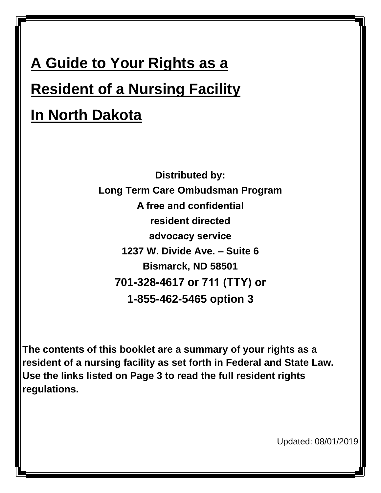# **A Guide to Your Rights as a Resident of a Nursing Facility In North Dakota**

**Distributed by: Long Term Care Ombudsman Program A free and confidential resident directed advocacy service 1237 W. Divide Ave. – Suite 6 Bismarck, ND 58501 701-328-4617 or 711 (TTY) or 1-855-462-5465 option 3**

**The contents of this booklet are a summary of your rights as a resident of a nursing facility as set forth in Federal and State Law. Use the links listed on Page 3 to read the full resident rights regulations.** 

Updated: 08/01/2019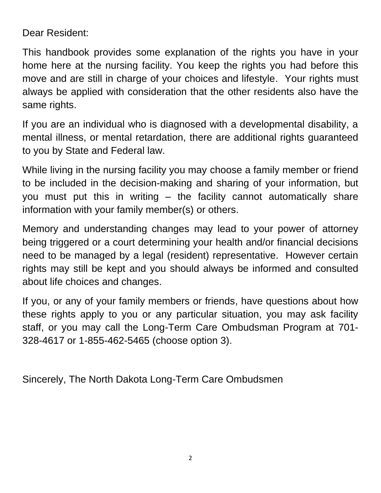Dear Resident:

This handbook provides some explanation of the rights you have in your home here at the nursing facility. You keep the rights you had before this move and are still in charge of your choices and lifestyle. Your rights must always be applied with consideration that the other residents also have the same rights.

If you are an individual who is diagnosed with a developmental disability, a mental illness, or mental retardation, there are additional rights guaranteed to you by State and Federal law.

While living in the nursing facility you may choose a family member or friend to be included in the decision-making and sharing of your information, but you must put this in writing – the facility cannot automatically share information with your family member(s) or others.

Memory and understanding changes may lead to your power of attorney being triggered or a court determining your health and/or financial decisions need to be managed by a legal (resident) representative. However certain rights may still be kept and you should always be informed and consulted about life choices and changes.

If you, or any of your family members or friends, have questions about how these rights apply to you or any particular situation, you may ask facility staff, or you may call the Long-Term Care Ombudsman Program at 701- 328-4617 or 1-855-462-5465 (choose option 3).

Sincerely, The North Dakota Long-Term Care Ombudsmen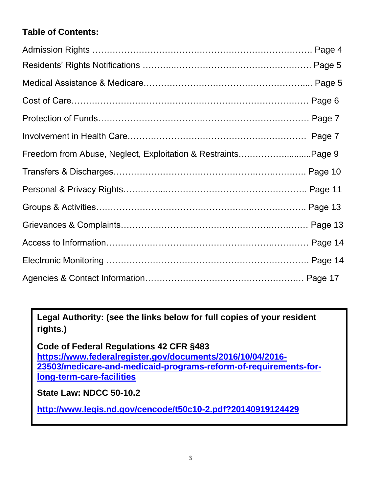# **Table of Contents:**

| Freedom from Abuse, Neglect, Exploitation & RestraintsPage 9 |  |
|--------------------------------------------------------------|--|
|                                                              |  |
|                                                              |  |
|                                                              |  |
|                                                              |  |
|                                                              |  |
|                                                              |  |
|                                                              |  |

**Legal Authority: (see the links below for full copies of your resident rights.)**

**Code of Federal Regulations 42 CFR §483 [https://www.federalregister.gov/documents/2016/10/04/2016-](https://www.federalregister.gov/documents/2016/10/04/2016-23503/medicare-and-medicaid-programs-reform-of-requirements-for-long-term-care-facilities) [23503/medicare-and-medicaid-programs-reform-of-requirements-for](https://www.federalregister.gov/documents/2016/10/04/2016-23503/medicare-and-medicaid-programs-reform-of-requirements-for-long-term-care-facilities)[long-term-care-facilities](https://www.federalregister.gov/documents/2016/10/04/2016-23503/medicare-and-medicaid-programs-reform-of-requirements-for-long-term-care-facilities)**

**State Law: NDCC 50-10.2**

**<http://www.legis.nd.gov/cencode/t50c10-2.pdf?20140919124429>**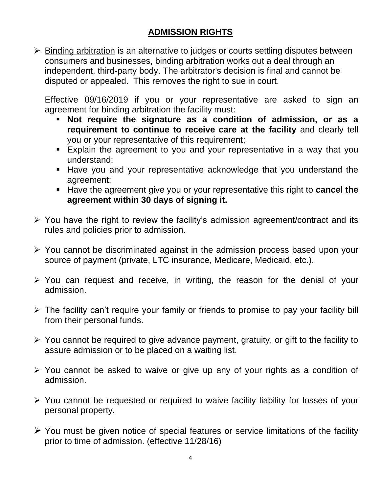# **ADMISSION RIGHTS**

➢ Binding arbitration is an alternative to judges or courts settling disputes between consumers and businesses, binding arbitration works out a deal through an independent, third-party body. The arbitrator's decision is final and cannot be disputed or appealed. This removes the right to sue in court.

Effective 09/16/2019 if you or your representative are asked to sign an agreement for binding arbitration the facility must:

- **Not require the signature as a condition of admission, or as a requirement to continue to receive care at the facility** and clearly tell you or your representative of this requirement;
- **Explain the agreement to you and your representative in a way that you** understand;
- **EXTER** Have you and your representative acknowledge that you understand the agreement;
- Have the agreement give you or your representative this right to **cancel the agreement within 30 days of signing it.**
- ➢ You have the right to review the facility's admission agreement/contract and its rules and policies prior to admission.
- ➢ You cannot be discriminated against in the admission process based upon your source of payment (private, LTC insurance, Medicare, Medicaid, etc.).
- ➢ You can request and receive, in writing, the reason for the denial of your admission.
- ➢ The facility can't require your family or friends to promise to pay your facility bill from their personal funds.
- ➢ You cannot be required to give advance payment, gratuity, or gift to the facility to assure admission or to be placed on a waiting list.
- ➢ You cannot be asked to waive or give up any of your rights as a condition of admission.
- ➢ You cannot be requested or required to waive facility liability for losses of your personal property.
- $\triangleright$  You must be given notice of special features or service limitations of the facility prior to time of admission. (effective 11/28/16)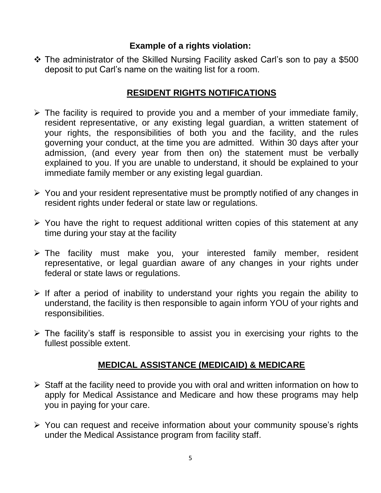❖ The administrator of the Skilled Nursing Facility asked Carl's son to pay a \$500 deposit to put Carl's name on the waiting list for a room.

#### **RESIDENT RIGHTS NOTIFICATIONS**

- $\triangleright$  The facility is required to provide you and a member of your immediate family, resident representative, or any existing legal guardian, a written statement of your rights, the responsibilities of both you and the facility, and the rules governing your conduct, at the time you are admitted. Within 30 days after your admission, (and every year from then on) the statement must be verbally explained to you. If you are unable to understand, it should be explained to your immediate family member or any existing legal guardian.
- ➢ You and your resident representative must be promptly notified of any changes in resident rights under federal or state law or regulations.
- ➢ You have the right to request additional written copies of this statement at any time during your stay at the facility
- ➢ The facility must make you, your interested family member, resident representative, or legal guardian aware of any changes in your rights under federal or state laws or regulations.
- $\triangleright$  If after a period of inability to understand your rights you regain the ability to understand, the facility is then responsible to again inform YOU of your rights and responsibilities.
- ➢ The facility's staff is responsible to assist you in exercising your rights to the fullest possible extent.

## **MEDICAL ASSISTANCE (MEDICAID) & MEDICARE**

- ➢ Staff at the facility need to provide you with oral and written information on how to apply for Medical Assistance and Medicare and how these programs may help you in paying for your care.
- ➢ You can request and receive information about your community spouse's rights under the Medical Assistance program from facility staff.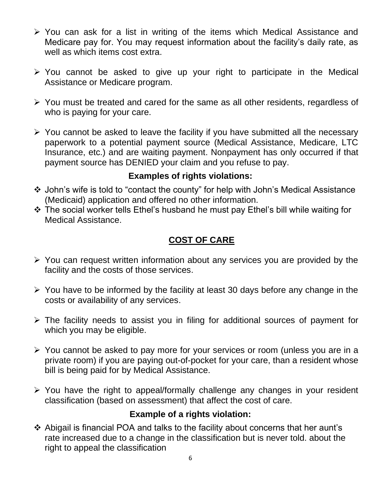- ➢ You can ask for a list in writing of the items which Medical Assistance and Medicare pay for. You may request information about the facility's daily rate, as well as which items cost extra.
- ➢ You cannot be asked to give up your right to participate in the Medical Assistance or Medicare program.
- ➢ You must be treated and cared for the same as all other residents, regardless of who is paying for your care.
- ➢ You cannot be asked to leave the facility if you have submitted all the necessary paperwork to a potential payment source (Medical Assistance, Medicare, LTC Insurance, etc.) and are waiting payment. Nonpayment has only occurred if that payment source has DENIED your claim and you refuse to pay.

- ❖ John's wife is told to "contact the county" for help with John's Medical Assistance (Medicaid) application and offered no other information.
- ❖ The social worker tells Ethel's husband he must pay Ethel's bill while waiting for Medical Assistance.

## **COST OF CARE**

- ➢ You can request written information about any services you are provided by the facility and the costs of those services.
- ➢ You have to be informed by the facility at least 30 days before any change in the costs or availability of any services.
- ➢ The facility needs to assist you in filing for additional sources of payment for which you may be eligible.
- ➢ You cannot be asked to pay more for your services or room (unless you are in a private room) if you are paying out-of-pocket for your care, than a resident whose bill is being paid for by Medical Assistance.
- ➢ You have the right to appeal/formally challenge any changes in your resident classification (based on assessment) that affect the cost of care.

## **Example of a rights violation:**

❖ Abigail is financial POA and talks to the facility about concerns that her aunt's rate increased due to a change in the classification but is never told. about the right to appeal the classification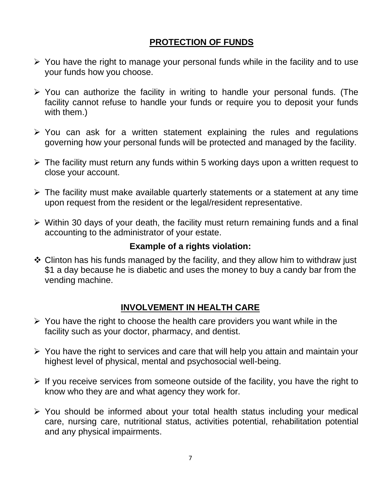## **PROTECTION OF FUNDS**

- $\triangleright$  You have the right to manage your personal funds while in the facility and to use your funds how you choose.
- ➢ You can authorize the facility in writing to handle your personal funds. (The facility cannot refuse to handle your funds or require you to deposit your funds with them.)
- ➢ You can ask for a written statement explaining the rules and regulations governing how your personal funds will be protected and managed by the facility.
- ➢ The facility must return any funds within 5 working days upon a written request to close your account.
- ➢ The facility must make available quarterly statements or a statement at any time upon request from the resident or the legal/resident representative.
- ➢ Within 30 days of your death, the facility must return remaining funds and a final accounting to the administrator of your estate.

#### **Example of a rights violation:**

❖ Clinton has his funds managed by the facility, and they allow him to withdraw just \$1 a day because he is diabetic and uses the money to buy a candy bar from the vending machine.

## **INVOLVEMENT IN HEALTH CARE**

- $\triangleright$  You have the right to choose the health care providers you want while in the facility such as your doctor, pharmacy, and dentist.
- ➢ You have the right to services and care that will help you attain and maintain your highest level of physical, mental and psychosocial well-being.
- $\triangleright$  If you receive services from someone outside of the facility, you have the right to know who they are and what agency they work for.
- ➢ You should be informed about your total health status including your medical care, nursing care, nutritional status, activities potential, rehabilitation potential and any physical impairments.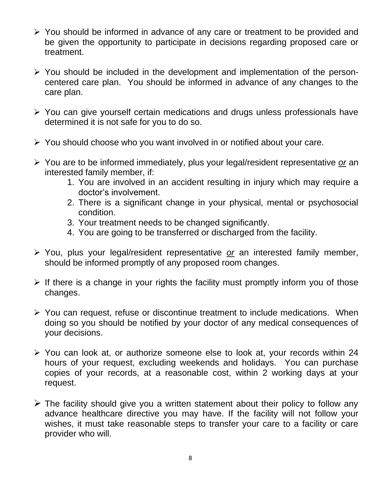- ➢ You should be informed in advance of any care or treatment to be provided and be given the opportunity to participate in decisions regarding proposed care or treatment.
- ➢ You should be included in the development and implementation of the personcentered care plan. You should be informed in advance of any changes to the care plan.
- ➢ You can give yourself certain medications and drugs unless professionals have determined it is not safe for you to do so.
- ➢ You should choose who you want involved in or notified about your care.
- ➢ You are to be informed immediately, plus your legal/resident representative *or* an interested family member, if:
	- 1. You are involved in an accident resulting in injury which may require a doctor's involvement.
	- 2. There is a significant change in your physical, mental or psychosocial condition.
	- 3. Your treatment needs to be changed significantly.
	- 4. You are going to be transferred or discharged from the facility.
- ➢ You, plus your legal/resident representative *or* an interested family member, should be informed promptly of any proposed room changes.
- $\triangleright$  If there is a change in your rights the facility must promptly inform you of those changes.
- ➢ You can request, refuse or discontinue treatment to include medications. When doing so you should be notified by your doctor of any medical consequences of your decisions.
- ➢ You can look at, or authorize someone else to look at, your records within 24 hours of your request, excluding weekends and holidays. You can purchase copies of your records, at a reasonable cost, within 2 working days at your request.
- $\triangleright$  The facility should give you a written statement about their policy to follow any advance healthcare directive you may have. If the facility will not follow your wishes, it must take reasonable steps to transfer your care to a facility or care provider who will.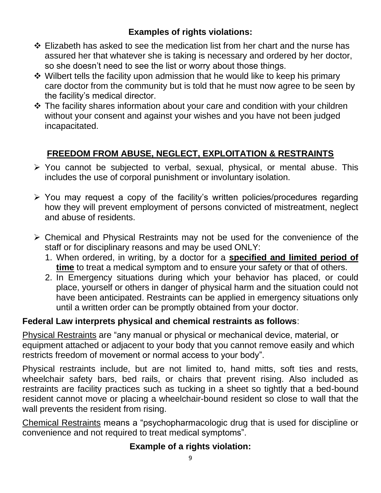- ❖ Elizabeth has asked to see the medication list from her chart and the nurse has assured her that whatever she is taking is necessary and ordered by her doctor, so she doesn't need to see the list or worry about those things.
- ❖ Wilbert tells the facility upon admission that he would like to keep his primary care doctor from the community but is told that he must now agree to be seen by the facility's medical director.
- ❖ The facility shares information about your care and condition with your children without your consent and against your wishes and you have not been judged incapacitated.

# **FREEDOM FROM ABUSE, NEGLECT, EXPLOITATION & RESTRAINTS**

- ➢ You cannot be subjected to verbal, sexual, physical, or mental abuse. This includes the use of corporal punishment or involuntary isolation.
- ➢ You may request a copy of the facility's written policies/procedures regarding how they will prevent employment of persons convicted of mistreatment, neglect and abuse of residents.
- ➢ Chemical and Physical Restraints may not be used for the convenience of the staff or for disciplinary reasons and may be used ONLY:
	- 1. When ordered, in writing, by a doctor for a **specified and limited period of time** to treat a medical symptom and to ensure your safety or that of others.
	- 2. In Emergency situations during which your behavior has placed, or could place, yourself or others in danger of physical harm and the situation could not have been anticipated. Restraints can be applied in emergency situations only until a written order can be promptly obtained from your doctor.

## **Federal Law interprets physical and chemical restraints as follows**:

Physical Restraints are "any manual or physical or mechanical device, material, or equipment attached or adjacent to your body that you cannot remove easily and which restricts freedom of movement or normal access to your body".

Physical restraints include, but are not limited to, hand mitts, soft ties and rests, wheelchair safety bars, bed rails, or chairs that prevent rising. Also included as restraints are facility practices such as tucking in a sheet so tightly that a bed-bound resident cannot move or placing a wheelchair-bound resident so close to wall that the wall prevents the resident from rising.

Chemical Restraints means a "psychopharmacologic drug that is used for discipline or convenience and not required to treat medical symptoms".

## **Example of a rights violation:**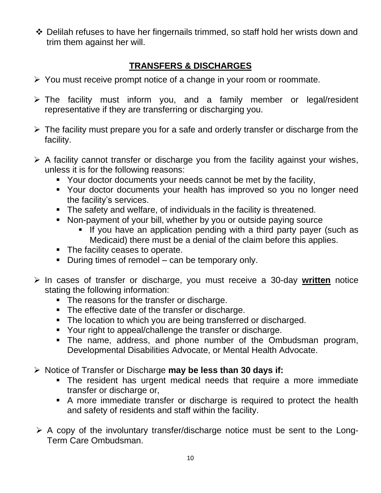❖ Delilah refuses to have her fingernails trimmed, so staff hold her wrists down and trim them against her will.

# **TRANSFERS & DISCHARGES**

- ➢ You must receive prompt notice of a change in your room or roommate.
- ➢ The facility must inform you, and a family member or legal/resident representative if they are transferring or discharging you.
- $\triangleright$  The facility must prepare you for a safe and orderly transfer or discharge from the facility.
- $\triangleright$  A facility cannot transfer or discharge you from the facility against your wishes, unless it is for the following reasons:
	- Your doctor documents your needs cannot be met by the facility,
	- Your doctor documents your health has improved so you no longer need the facility's services.
	- The safety and welfare, of individuals in the facility is threatened.
	- Non-payment of your bill, whether by you or outside paying source
		- **.** If you have an application pending with a third party payer (such as Medicaid) there must be a denial of the claim before this applies.
	- The facility ceases to operate.
	- During times of remodel can be temporary only.
- ➢ In cases of transfer or discharge, you must receive a 30-day **written** notice stating the following information:
	- The reasons for the transfer or discharge.
	- The effective date of the transfer or discharge.
	- **The location to which you are being transferred or discharged.**
	- Your right to appeal/challenge the transfer or discharge.
	- The name, address, and phone number of the Ombudsman program, Developmental Disabilities Advocate, or Mental Health Advocate.
- ➢ Notice of Transfer or Discharge **may be less than 30 days if:**
	- **•** The resident has urgent medical needs that require a more immediate transfer or discharge or,
	- **E** A more immediate transfer or discharge is required to protect the health and safety of residents and staff within the facility.
- $\triangleright$  A copy of the involuntary transfer/discharge notice must be sent to the Long-Term Care Ombudsman.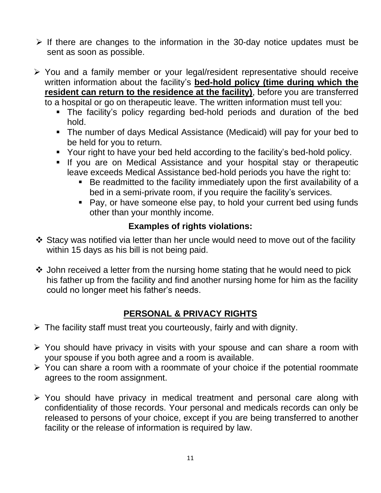- ➢ If there are changes to the information in the 30-day notice updates must be sent as soon as possible.
- ➢ You and a family member or your legal/resident representative should receive written information about the facility's **bed-hold policy (time during which the resident can return to the residence at the facility)**, before you are transferred to a hospital or go on therapeutic leave. The written information must tell you:
	- The facility's policy regarding bed-hold periods and duration of the bed hold.
	- The number of days Medical Assistance (Medicaid) will pay for your bed to be held for you to return.
	- Your right to have your bed held according to the facility's bed-hold policy.
	- **.** If you are on Medical Assistance and your hospital stay or therapeutic leave exceeds Medical Assistance bed-hold periods you have the right to:
		- Be readmitted to the facility immediately upon the first availability of a bed in a semi-private room, if you require the facility's services.
		- Pay, or have someone else pay, to hold your current bed using funds other than your monthly income.

- ❖ Stacy was notified via letter than her uncle would need to move out of the facility within 15 days as his bill is not being paid.
- ❖ John received a letter from the nursing home stating that he would need to pick his father up from the facility and find another nursing home for him as the facility could no longer meet his father's needs.

# **PERSONAL & PRIVACY RIGHTS**

- ➢ The facility staff must treat you courteously, fairly and with dignity.
- ➢ You should have privacy in visits with your spouse and can share a room with your spouse if you both agree and a room is available.
- ➢ You can share a room with a roommate of your choice if the potential roommate agrees to the room assignment.
- ➢ You should have privacy in medical treatment and personal care along with confidentiality of those records. Your personal and medicals records can only be released to persons of your choice, except if you are being transferred to another facility or the release of information is required by law.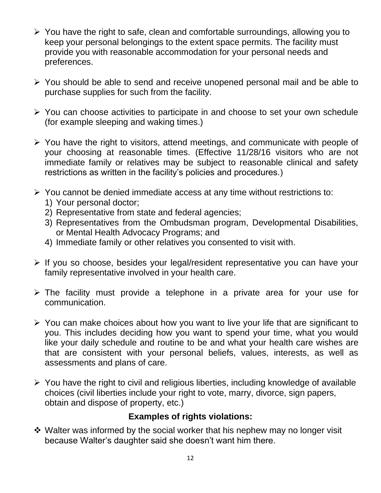- ➢ You have the right to safe, clean and comfortable surroundings, allowing you to keep your personal belongings to the extent space permits. The facility must provide you with reasonable accommodation for your personal needs and preferences.
- ➢ You should be able to send and receive unopened personal mail and be able to purchase supplies for such from the facility.
- ➢ You can choose activities to participate in and choose to set your own schedule (for example sleeping and waking times.)
- ➢ You have the right to visitors, attend meetings, and communicate with people of your choosing at reasonable times. (Effective 11/28/16 visitors who are not immediate family or relatives may be subject to reasonable clinical and safety restrictions as written in the facility's policies and procedures.)
- ➢ You cannot be denied immediate access at any time without restrictions to:
	- 1) Your personal doctor;
	- 2) Representative from state and federal agencies;
	- 3) Representatives from the Ombudsman program, Developmental Disabilities, or Mental Health Advocacy Programs; and
	- 4) Immediate family or other relatives you consented to visit with.
- ➢ If you so choose, besides your legal/resident representative you can have your family representative involved in your health care.
- ➢ The facility must provide a telephone in a private area for your use for communication.
- ➢ You can make choices about how you want to live your life that are significant to you. This includes deciding how you want to spend your time, what you would like your daily schedule and routine to be and what your health care wishes are that are consistent with your personal beliefs, values, interests, as well as assessments and plans of care.
- ➢ You have the right to civil and religious liberties, including knowledge of available choices (civil liberties include your right to vote, marry, divorce, sign papers, obtain and dispose of property, etc.)

❖ Walter was informed by the social worker that his nephew may no longer visit because Walter's daughter said she doesn't want him there.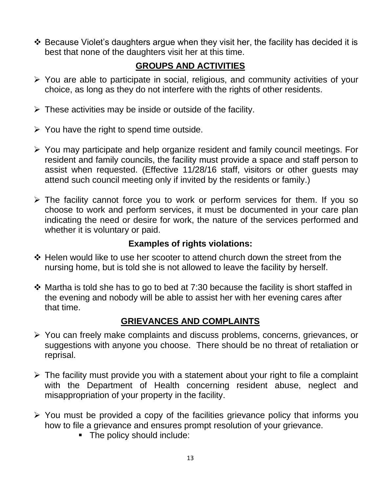❖ Because Violet's daughters argue when they visit her, the facility has decided it is best that none of the daughters visit her at this time.

# **GROUPS AND ACTIVITIES**

- ➢ You are able to participate in social, religious, and community activities of your choice, as long as they do not interfere with the rights of other residents.
- $\triangleright$  These activities may be inside or outside of the facility.
- $\triangleright$  You have the right to spend time outside.
- ➢ You may participate and help organize resident and family council meetings. For resident and family councils, the facility must provide a space and staff person to assist when requested. (Effective 11/28/16 staff, visitors or other guests may attend such council meeting only if invited by the residents or family.)
- ➢ The facility cannot force you to work or perform services for them. If you so choose to work and perform services, it must be documented in your care plan indicating the need or desire for work, the nature of the services performed and whether it is voluntary or paid.

## **Examples of rights violations:**

- ❖ Helen would like to use her scooter to attend church down the street from the nursing home, but is told she is not allowed to leave the facility by herself.
- $\cdot$  Martha is told she has to go to bed at 7:30 because the facility is short staffed in the evening and nobody will be able to assist her with her evening cares after that time.

## **GRIEVANCES AND COMPLAINTS**

- ➢ You can freely make complaints and discuss problems, concerns, grievances, or suggestions with anyone you choose. There should be no threat of retaliation or reprisal.
- $\triangleright$  The facility must provide you with a statement about your right to file a complaint with the Department of Health concerning resident abuse, neglect and misappropriation of your property in the facility.
- ➢ You must be provided a copy of the facilities grievance policy that informs you how to file a grievance and ensures prompt resolution of your grievance.
	- The policy should include: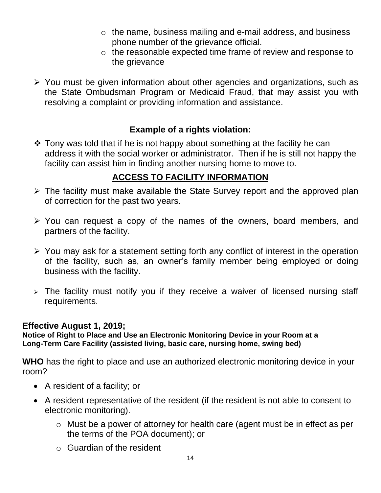- o the name, business mailing and e-mail address, and business phone number of the grievance official.
- o the reasonable expected time frame of review and response to the grievance
- ➢ You must be given information about other agencies and organizations, such as the State Ombudsman Program or Medicaid Fraud, that may assist you with resolving a complaint or providing information and assistance.

 $\cdot$  Tony was told that if he is not happy about something at the facility he can address it with the social worker or administrator. Then if he is still not happy the facility can assist him in finding another nursing home to move to.

# **ACCESS TO FACILITY INFORMATION**

- ➢ The facility must make available the State Survey report and the approved plan of correction for the past two years.
- ➢ You can request a copy of the names of the owners, board members, and partners of the facility.
- ➢ You may ask for a statement setting forth any conflict of interest in the operation of the facility, such as, an owner's family member being employed or doing business with the facility.
- $\geq$  The facility must notify you if they receive a waiver of licensed nursing staff requirements.

#### **Effective August 1, 2019;**

**Notice of Right to Place and Use an Electronic Monitoring Device in your Room at a Long-Term Care Facility (assisted living, basic care, nursing home, swing bed)**

**WHO** has the right to place and use an authorized electronic monitoring device in your room?

- A resident of a facility; or
- A resident representative of the resident (if the resident is not able to consent to electronic monitoring).
	- o Must be a power of attorney for health care (agent must be in effect as per the terms of the POA document); or
	- o Guardian of the resident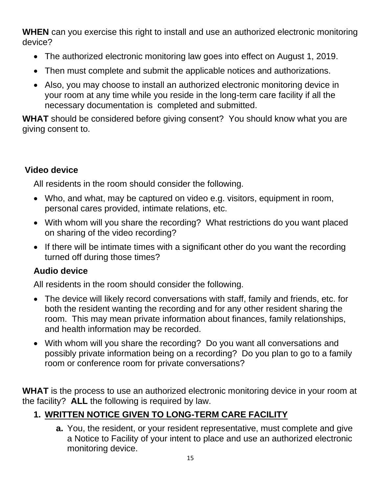**WHEN** can you exercise this right to install and use an authorized electronic monitoring device?

- The authorized electronic monitoring law goes into effect on August 1, 2019.
- Then must complete and submit the applicable notices and authorizations.
- Also, you may choose to install an authorized electronic monitoring device in your room at any time while you reside in the long-term care facility if all the necessary documentation is completed and submitted.

**WHAT** should be considered before giving consent? You should know what you are giving consent to.

## **Video device**

All residents in the room should consider the following.

- Who, and what, may be captured on video e.g. visitors, equipment in room, personal cares provided, intimate relations, etc.
- With whom will you share the recording? What restrictions do you want placed on sharing of the video recording?
- If there will be intimate times with a significant other do you want the recording turned off during those times?

## **Audio device**

All residents in the room should consider the following.

- The device will likely record conversations with staff, family and friends, etc. for both the resident wanting the recording and for any other resident sharing the room. This may mean private information about finances, family relationships, and health information may be recorded.
- With whom will you share the recording? Do you want all conversations and possibly private information being on a recording? Do you plan to go to a family room or conference room for private conversations?

**WHAT** is the process to use an authorized electronic monitoring device in your room at the facility? **ALL** the following is required by law.

# **1. WRITTEN NOTICE GIVEN TO LONG-TERM CARE FACILITY**

**a.** You, the resident, or your resident representative, must complete and give a Notice to Facility of your intent to place and use an authorized electronic monitoring device.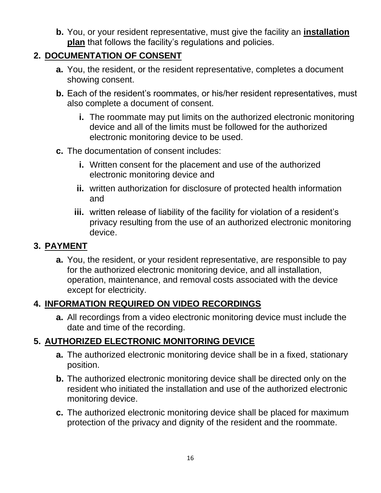**b.** You, or your resident representative, must give the facility an **installation plan** that follows the facility's regulations and policies.

# **2. DOCUMENTATION OF CONSENT**

- **a.** You, the resident, or the resident representative, completes a document showing consent.
- **b.** Each of the resident's roommates, or his/her resident representatives, must also complete a document of consent.
	- **i.** The roommate may put limits on the authorized electronic monitoring device and all of the limits must be followed for the authorized electronic monitoring device to be used.
- **c.** The documentation of consent includes:
	- **i.** Written consent for the placement and use of the authorized electronic monitoring device and
	- **ii.** written authorization for disclosure of protected health information and
	- **iii.** written release of liability of the facility for violation of a resident's privacy resulting from the use of an authorized electronic monitoring device.

#### **3. PAYMENT**

**a.** You, the resident, or your resident representative, are responsible to pay for the authorized electronic monitoring device, and all installation, operation, maintenance, and removal costs associated with the device except for electricity.

## **4. INFORMATION REQUIRED ON VIDEO RECORDINGS**

**a.** All recordings from a video electronic monitoring device must include the date and time of the recording.

## **5. AUTHORIZED ELECTRONIC MONITORING DEVICE**

- **a.** The authorized electronic monitoring device shall be in a fixed, stationary position.
- **b.** The authorized electronic monitoring device shall be directed only on the resident who initiated the installation and use of the authorized electronic monitoring device.
- **c.** The authorized electronic monitoring device shall be placed for maximum protection of the privacy and dignity of the resident and the roommate.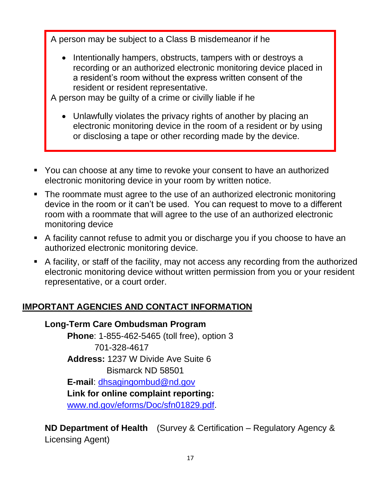A person may be subject to a Class B misdemeanor if he

• Intentionally hampers, obstructs, tampers with or destroys a recording or an authorized electronic monitoring device placed in a resident's room without the express written consent of the resident or resident representative.

A person may be guilty of a crime or civilly liable if he

- Unlawfully violates the privacy rights of another by placing an electronic monitoring device in the room of a resident or by using or disclosing a tape or other recording made by the device.
- You can choose at any time to revoke your consent to have an authorized electronic monitoring device in your room by written notice.
- The roommate must agree to the use of an authorized electronic monitoring device in the room or it can't be used. You can request to move to a different room with a roommate that will agree to the use of an authorized electronic monitoring device
- A facility cannot refuse to admit you or discharge you if you choose to have an authorized electronic monitoring device.
- A facility, or staff of the facility, may not access any recording from the authorized electronic monitoring device without written permission from you or your resident representative, or a court order.

## **IMPORTANT AGENCIES AND CONTACT INFORMATION**

#### **Long-Term Care Ombudsman Program**

**Phone**: 1-855-462-5465 (toll free), option 3 701-328-4617 **Address:** 1237 W Divide Ave Suite 6 Bismarck ND 58501 **E-mail**: [dhsagingombud@nd.gov](mailto:dhsagingombud@nd.gov) **Link for online complaint reporting:** [www.nd.gov/eforms/Doc/sfn01829.pdf.](http://www.nd.gov/eforms/Doc/sfn01829.pdf)

**ND Department of Health** (Survey & Certification – Regulatory Agency & Licensing Agent)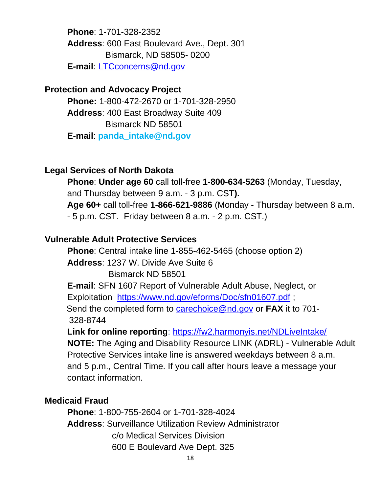**Phone**: 1-701-328-2352 **Address**: 600 East Boulevard Ave., Dept. 301 Bismarck, ND 58505- 0200 **E-mail**: [LTCconcerns@nd.gov](mailto:LTCconcerns@nd.gov)

#### **Protection and Advocacy Project**

**Phone:** 1-800-472-2670 or 1-701-328-2950 **Address**: 400 East Broadway Suite 409 Bismarck ND 58501 **E-mail**: **panda\_intake@nd.gov**

#### **Legal Services of North Dakota**

**Phone**: **Under age 60** call toll-free **1-800-634-5263** (Monday, Tuesday, and Thursday between 9 a.m. - 3 p.m. CST**). Age 60+** call toll-free **1-866-621-9886** (Monday - Thursday between 8 a.m. - 5 p.m. CST. Friday between 8 a.m. - 2 p.m. CST.)

#### **Vulnerable Adult Protective Services**

**Phone**: Central intake line 1-855-462-5465 (choose option 2) **Address**: 1237 W. Divide Ave Suite 6 Bismarck ND 58501 **E-mail**: SFN 1607 Report of Vulnerable Adult Abuse, Neglect, or

Exploitation <https://www.nd.gov/eforms/Doc/sfn01607.pdf> ; Send the completed form to [carechoice@nd.gov](mailto:%20carechoice@nd.gov) or **FAX** it to 701-

328-8744

**Link for online reporting**:<https://fw2.harmonyis.net/NDLiveIntake/>

**NOTE:** The Aging and Disability Resource LINK (ADRL) - Vulnerable Adult Protective Services intake line is answered weekdays between 8 a.m. and 5 p.m., Central Time. If you call after hours leave a message your contact information*.*

#### **Medicaid Fraud**

**Phone**: 1-800-755-2604 or 1-701-328-4024 **Address**: Surveillance Utilization Review Administrator c/o Medical Services Division 600 E Boulevard Ave Dept. 325